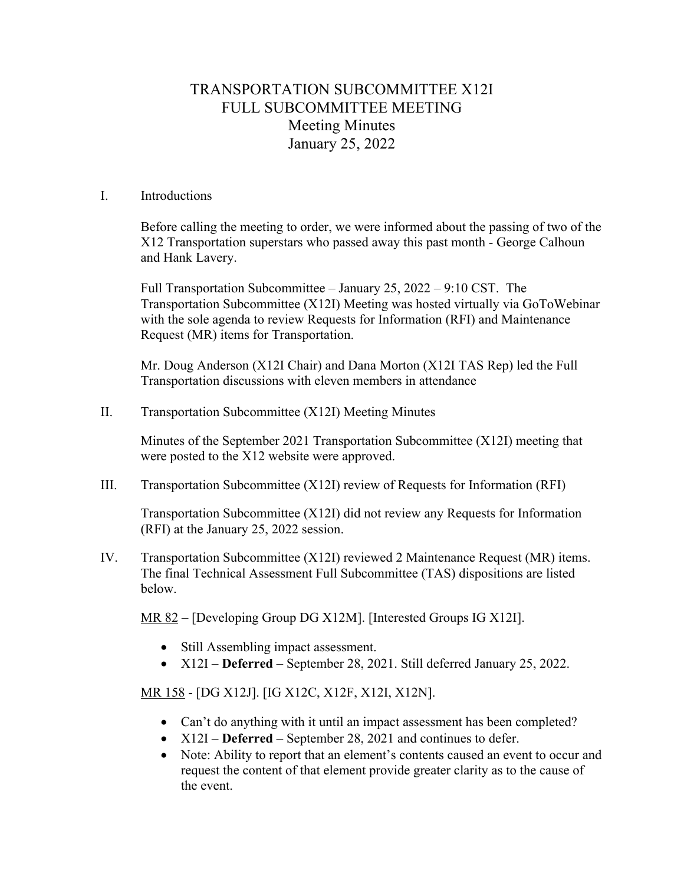# TRANSPORTATION SUBCOMMITTEE X12I FULL SUBCOMMITTEE MEETING Meeting Minutes January 25, 2022

### I. Introductions

Before calling the meeting to order, we were informed about the passing of two of the X12 Transportation superstars who passed away this past month - George Calhoun and Hank Lavery.

Full Transportation Subcommittee – January 25, 2022 – 9:10 CST. The Transportation Subcommittee (X12I) Meeting was hosted virtually via GoToWebinar with the sole agenda to review Requests for Information (RFI) and Maintenance Request (MR) items for Transportation.

Mr. Doug Anderson (X12I Chair) and Dana Morton (X12I TAS Rep) led the Full Transportation discussions with eleven members in attendance

II. Transportation Subcommittee (X12I) Meeting Minutes

Minutes of the September 2021 Transportation Subcommittee (X12I) meeting that were posted to the X12 website were approved.

III. Transportation Subcommittee (X12I) review of Requests for Information (RFI)

Transportation Subcommittee (X12I) did not review any Requests for Information (RFI) at the January 25, 2022 session.

IV. Transportation Subcommittee (X12I) reviewed 2 Maintenance Request (MR) items. The final Technical Assessment Full Subcommittee (TAS) dispositions are listed below.

MR 82 – [Developing Group DG X12M]. [Interested Groups IG X12I].

- Still Assembling impact assessment.
- X12I **Deferred** September 28, 2021. Still deferred January 25, 2022.

MR 158 - [DG X12J]. [IG X12C, X12F, X12I, X12N].

- Can't do anything with it until an impact assessment has been completed?
- X12I **Deferred** September 28, 2021 and continues to defer.
- Note: Ability to report that an element's contents caused an event to occur and request the content of that element provide greater clarity as to the cause of the event.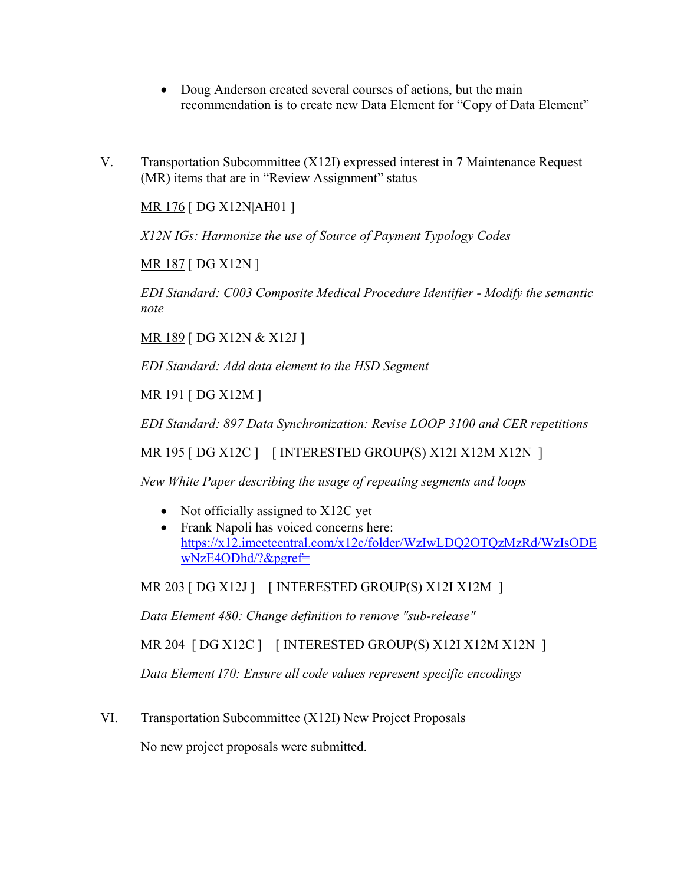- Doug Anderson created several courses of actions, but the main recommendation is to create new Data Element for "Copy of Data Element"
- V. Transportation Subcommittee (X12I) expressed interest in 7 Maintenance Request (MR) items that are in "Review Assignment" status

MR 176 [ DG X12N|AH01 ]

*X12N IGs: Harmonize the use of Source of Payment Typology Codes*

MR 187 [ DG X12N ]

*EDI Standard: C003 Composite Medical Procedure Identifier - Modify the semantic note*

MR 189 [ DG X12N & X12J ]

*EDI Standard: Add data element to the HSD Segment*

MR 191 [ DG X12M ]

*EDI Standard: 897 Data Synchronization: Revise LOOP 3100 and CER repetitions*

MR 195 [ DG X12C ] [ INTERESTED GROUP(S) X12I X12M X12N ]

*New White Paper describing the usage of repeating segments and loops*

- Not officially assigned to X12C yet
- Frank Napoli has voiced concerns here: https://x12.imeetcentral.com/x12c/folder/WzIwLDQ2OTQzMzRd/WzIsODE wNzE4ODhd/?&pgref=

MR 203 [ DG X12J ] [ INTERESTED GROUP(S) X12I X12M ]

*Data Element 480: Change definition to remove "sub-release"*

MR 204 [ DG X12C ] [ INTERESTED GROUP(S) X12I X12M X12N ]

*Data Element I70: Ensure all code values represent specific encodings*

VI. Transportation Subcommittee (X12I) New Project Proposals

No new project proposals were submitted.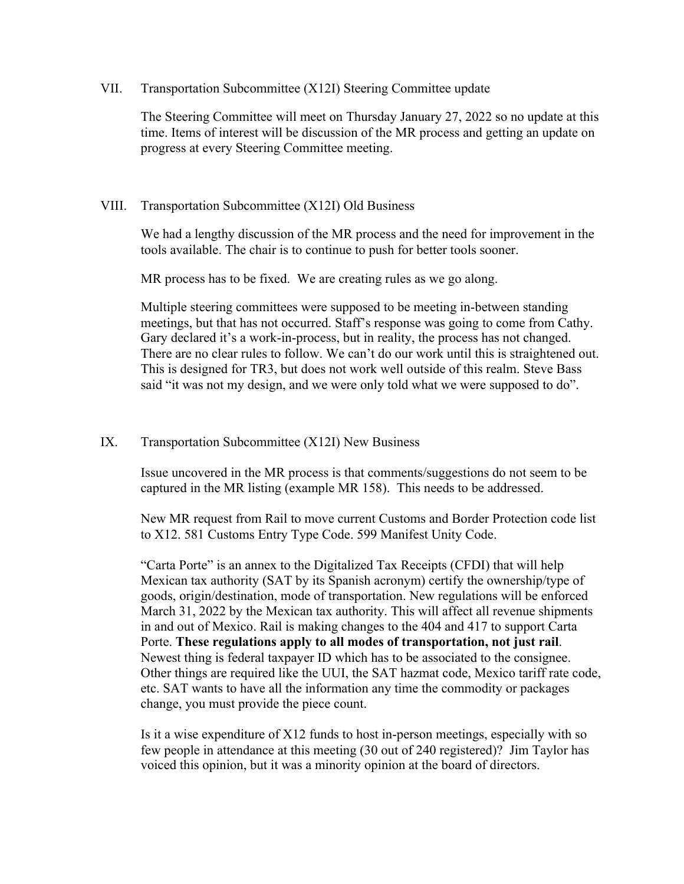VII. Transportation Subcommittee (X12I) Steering Committee update

The Steering Committee will meet on Thursday January 27, 2022 so no update at this time. Items of interest will be discussion of the MR process and getting an update on progress at every Steering Committee meeting.

## VIII. Transportation Subcommittee (X12I) Old Business

We had a lengthy discussion of the MR process and the need for improvement in the tools available. The chair is to continue to push for better tools sooner.

MR process has to be fixed. We are creating rules as we go along.

Multiple steering committees were supposed to be meeting in-between standing meetings, but that has not occurred. Staff's response was going to come from Cathy. Gary declared it's a work-in-process, but in reality, the process has not changed. There are no clear rules to follow. We can't do our work until this is straightened out. This is designed for TR3, but does not work well outside of this realm. Steve Bass said "it was not my design, and we were only told what we were supposed to do".

### IX. Transportation Subcommittee (X12I) New Business

Issue uncovered in the MR process is that comments/suggestions do not seem to be captured in the MR listing (example MR 158). This needs to be addressed.

New MR request from Rail to move current Customs and Border Protection code list to X12. 581 Customs Entry Type Code. 599 Manifest Unity Code.

"Carta Porte" is an annex to the Digitalized Tax Receipts (CFDI) that will help Mexican tax authority (SAT by its Spanish acronym) certify the ownership/type of goods, origin/destination, mode of transportation. New regulations will be enforced March 31, 2022 by the Mexican tax authority. This will affect all revenue shipments in and out of Mexico. Rail is making changes to the 404 and 417 to support Carta Porte. **These regulations apply to all modes of transportation, not just rail**. Newest thing is federal taxpayer ID which has to be associated to the consignee. Other things are required like the UUI, the SAT hazmat code, Mexico tariff rate code, etc. SAT wants to have all the information any time the commodity or packages change, you must provide the piece count.

Is it a wise expenditure of X12 funds to host in-person meetings, especially with so few people in attendance at this meeting (30 out of 240 registered)? Jim Taylor has voiced this opinion, but it was a minority opinion at the board of directors.